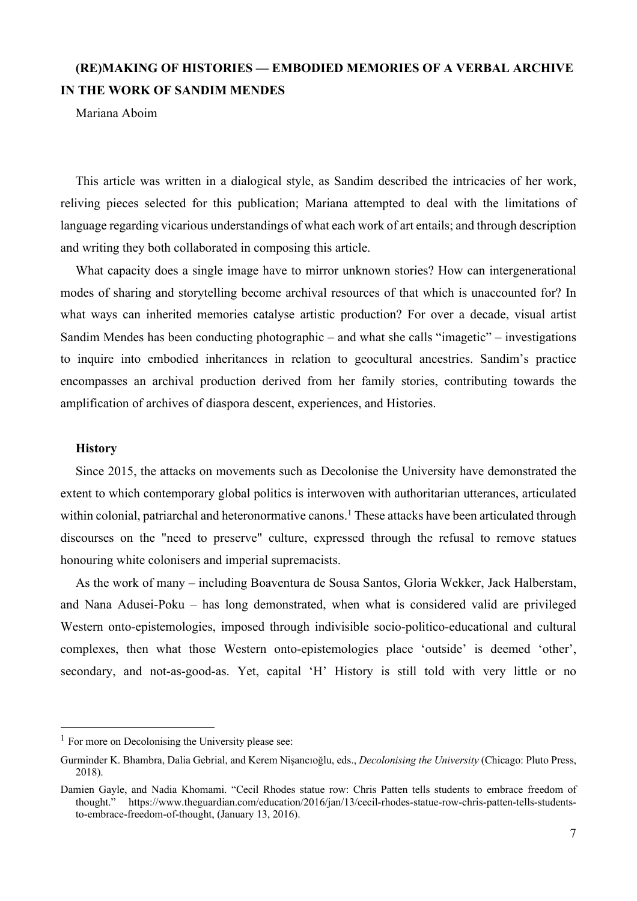# **(RE)MAKING OF HISTORIES — EMBODIED MEMORIES OF A VERBAL ARCHIVE IN THE WORK OF SANDIM MENDES**

Mariana Aboim

This article was written in a dialogical style, as Sandim described the intricacies of her work, reliving pieces selected for this publication; Mariana attempted to deal with the limitations of language regarding vicarious understandings of what each work of art entails; and through description and writing they both collaborated in composing this article.

What capacity does a single image have to mirror unknown stories? How can intergenerational modes of sharing and storytelling become archival resources of that which is unaccounted for? In what ways can inherited memories catalyse artistic production? For over a decade, visual artist Sandim Mendes has been conducting photographic – and what she calls "imagetic" – investigations to inquire into embodied inheritances in relation to geocultural ancestries. Sandim's practice encompasses an archival production derived from her family stories, contributing towards the amplification of archives of diaspora descent, experiences, and Histories.

### **History**

Since 2015, the attacks on movements such as Decolonise the University have demonstrated the extent to which contemporary global politics is interwoven with authoritarian utterances, articulated within colonial, patriarchal and heteronormative canons.<sup>1</sup> These attacks have been articulated through discourses on the "need to preserve" culture, expressed through the refusal to remove statues honouring white colonisers and imperial supremacists.

As the work of many – including Boaventura de Sousa Santos, Gloria Wekker, Jack Halberstam, and Nana Adusei-Poku – has long demonstrated, when what is considered valid are privileged Western onto-epistemologies, imposed through indivisible socio-politico-educational and cultural complexes, then what those Western onto-epistemologies place 'outside' is deemed 'other', secondary, and not-as-good-as. Yet, capital 'H' History is still told with very little or no

 $<sup>1</sup>$  For more on Decolonising the University please see:</sup>

Gurminder K. Bhambra, Dalia Gebrial, and Kerem Nişancıoğlu, eds., *Decolonising the University* (Chicago: Pluto Press, 2018).

Damien Gayle, and Nadia Khomami. "Cecil Rhodes statue row: Chris Patten tells students to embrace freedom of thought." https://www.theguardian.com/education/2016/jan/13/cecil-rhodes-statue-row-chris-patten-tells-studentsto-embrace-freedom-of-thought, (January 13, 2016).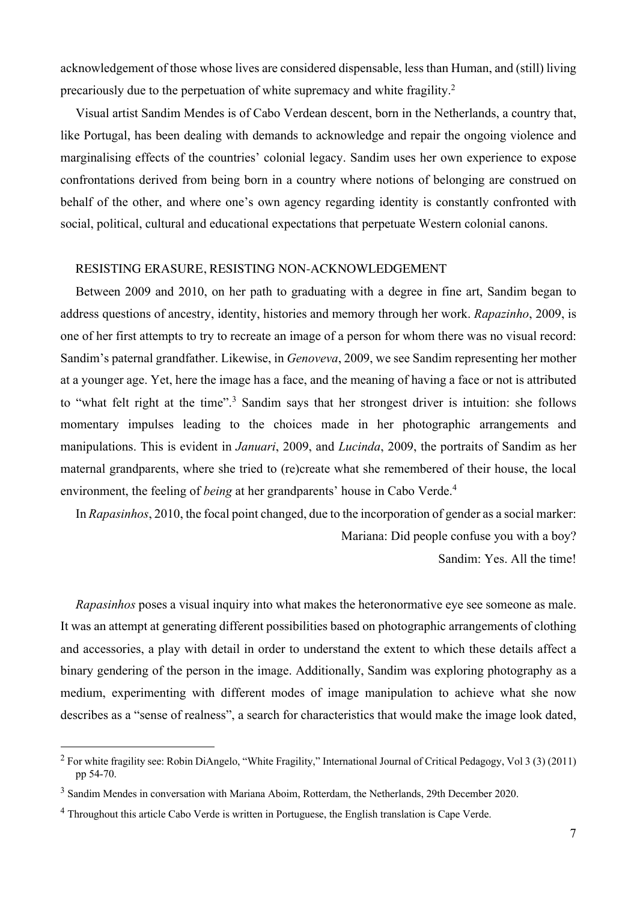acknowledgement of those whose lives are considered dispensable, less than Human, and (still) living precariously due to the perpetuation of white supremacy and white fragility.2

Visual artist Sandim Mendes is of Cabo Verdean descent, born in the Netherlands, a country that, like Portugal, has been dealing with demands to acknowledge and repair the ongoing violence and marginalising effects of the countries' colonial legacy. Sandim uses her own experience to expose confrontations derived from being born in a country where notions of belonging are construed on behalf of the other, and where one's own agency regarding identity is constantly confronted with social, political, cultural and educational expectations that perpetuate Western colonial canons.

## RESISTING ERASURE, RESISTING NON-ACKNOWLEDGEMENT

Between 2009 and 2010, on her path to graduating with a degree in fine art, Sandim began to address questions of ancestry, identity, histories and memory through her work. *Rapazinho*, 2009, is one of her first attempts to try to recreate an image of a person for whom there was no visual record: Sandim's paternal grandfather. Likewise, in *Genoveva*, 2009, we see Sandim representing her mother at a younger age. Yet, here the image has a face, and the meaning of having a face or not is attributed to "what felt right at the time".3 Sandim says that her strongest driver is intuition: she follows momentary impulses leading to the choices made in her photographic arrangements and manipulations. This is evident in *Januari*, 2009, and *Lucinda*, 2009, the portraits of Sandim as her maternal grandparents, where she tried to (re)create what she remembered of their house, the local environment, the feeling of *being* at her grandparents' house in Cabo Verde.<sup>4</sup>

In *Rapasinhos*, 2010, the focal point changed, due to the incorporation of gender as a social marker: Mariana: Did people confuse you with a boy? Sandim: Yes. All the time!

*Rapasinhos* poses a visual inquiry into what makes the heteronormative eye see someone as male. It was an attempt at generating different possibilities based on photographic arrangements of clothing and accessories, a play with detail in order to understand the extent to which these details affect a binary gendering of the person in the image. Additionally, Sandim was exploring photography as a medium, experimenting with different modes of image manipulation to achieve what she now describes as a "sense of realness", a search for characteristics that would make the image look dated,

<sup>&</sup>lt;sup>2</sup> For white fragility see: Robin DiAngelo, "White Fragility," International Journal of Critical Pedagogy, Vol 3 (3) (2011) pp 54-70.

<sup>&</sup>lt;sup>3</sup> Sandim Mendes in conversation with Mariana Aboim, Rotterdam, the Netherlands, 29th December 2020.

<sup>4</sup> Throughout this article Cabo Verde is written in Portuguese, the English translation is Cape Verde.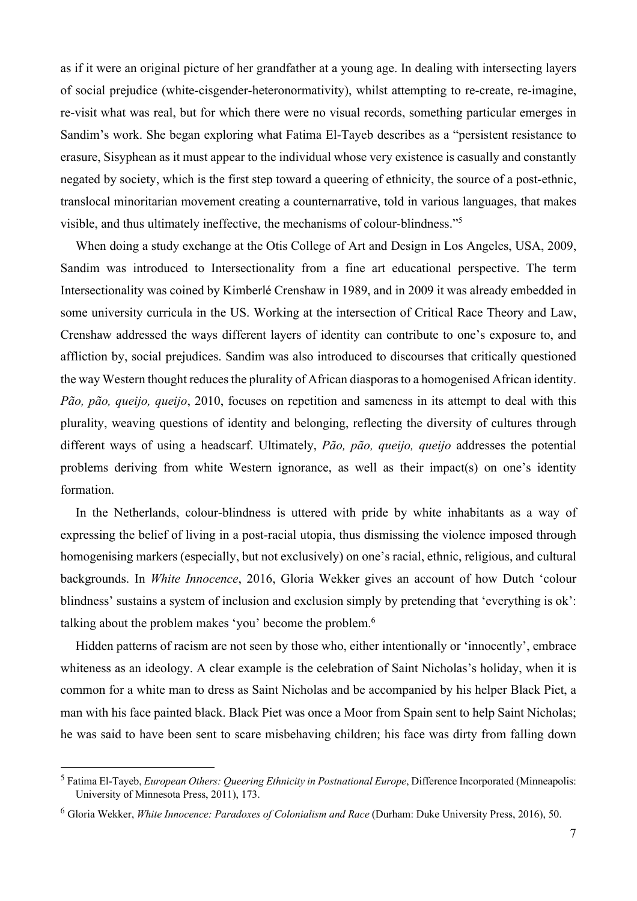as if it were an original picture of her grandfather at a young age. In dealing with intersecting layers of social prejudice (white-cisgender-heteronormativity), whilst attempting to re-create, re-imagine, re-visit what was real, but for which there were no visual records, something particular emerges in Sandim's work. She began exploring what Fatima El-Tayeb describes as a "persistent resistance to erasure, Sisyphean as it must appear to the individual whose very existence is casually and constantly negated by society, which is the first step toward a queering of ethnicity, the source of a post-ethnic, translocal minoritarian movement creating a counternarrative, told in various languages, that makes visible, and thus ultimately ineffective, the mechanisms of colour-blindness."5

When doing a study exchange at the Otis College of Art and Design in Los Angeles, USA, 2009, Sandim was introduced to Intersectionality from a fine art educational perspective. The term Intersectionality was coined by Kimberlé Crenshaw in 1989, and in 2009 it was already embedded in some university curricula in the US. Working at the intersection of Critical Race Theory and Law, Crenshaw addressed the ways different layers of identity can contribute to one's exposure to, and affliction by, social prejudices. Sandim was also introduced to discourses that critically questioned the way Western thought reduces the plurality of African diasporas to a homogenised African identity. *Pão, pão, queijo, queijo*, 2010, focuses on repetition and sameness in its attempt to deal with this plurality, weaving questions of identity and belonging, reflecting the diversity of cultures through different ways of using a headscarf. Ultimately, *Pão, pão, queijo, queijo* addresses the potential problems deriving from white Western ignorance, as well as their impact(s) on one's identity formation.

In the Netherlands, colour-blindness is uttered with pride by white inhabitants as a way of expressing the belief of living in a post-racial utopia, thus dismissing the violence imposed through homogenising markers (especially, but not exclusively) on one's racial, ethnic, religious, and cultural backgrounds. In *White Innocence*, 2016, Gloria Wekker gives an account of how Dutch 'colour blindness' sustains a system of inclusion and exclusion simply by pretending that 'everything is ok': talking about the problem makes 'you' become the problem.<sup>6</sup>

Hidden patterns of racism are not seen by those who, either intentionally or 'innocently', embrace whiteness as an ideology. A clear example is the celebration of Saint Nicholas's holiday, when it is common for a white man to dress as Saint Nicholas and be accompanied by his helper Black Piet, a man with his face painted black. Black Piet was once a Moor from Spain sent to help Saint Nicholas; he was said to have been sent to scare misbehaving children; his face was dirty from falling down

<sup>5</sup> Fatima El-Tayeb, *European Others: Queering Ethnicity in Postnational Europe*, Difference Incorporated (Minneapolis: University of Minnesota Press, 2011), 173.

<sup>6</sup> Gloria Wekker, *White Innocence: Paradoxes of Colonialism and Race* (Durham: Duke University Press, 2016), 50.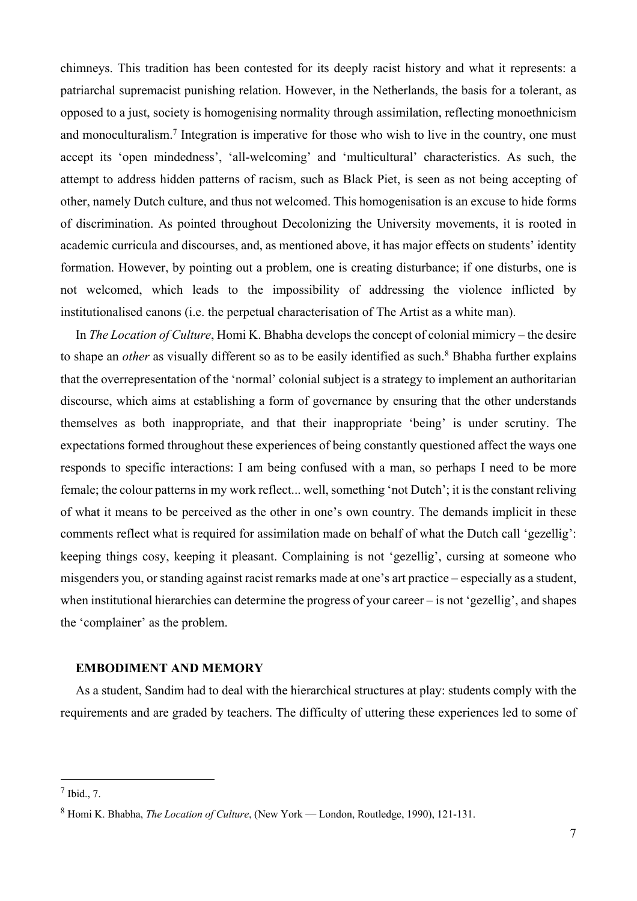chimneys. This tradition has been contested for its deeply racist history and what it represents: a patriarchal supremacist punishing relation. However, in the Netherlands, the basis for a tolerant, as opposed to a just, society is homogenising normality through assimilation, reflecting monoethnicism and monoculturalism.<sup>7</sup> Integration is imperative for those who wish to live in the country, one must accept its 'open mindedness', 'all-welcoming' and 'multicultural' characteristics. As such, the attempt to address hidden patterns of racism, such as Black Piet, is seen as not being accepting of other, namely Dutch culture, and thus not welcomed. This homogenisation is an excuse to hide forms of discrimination. As pointed throughout Decolonizing the University movements, it is rooted in academic curricula and discourses, and, as mentioned above, it has major effects on students' identity formation. However, by pointing out a problem, one is creating disturbance; if one disturbs, one is not welcomed, which leads to the impossibility of addressing the violence inflicted by institutionalised canons (i.e. the perpetual characterisation of The Artist as a white man).

In *The Location of Culture*, Homi K. Bhabha develops the concept of colonial mimicry – the desire to shape an *other* as visually different so as to be easily identified as such.<sup>8</sup> Bhabha further explains that the overrepresentation of the 'normal' colonial subject is a strategy to implement an authoritarian discourse, which aims at establishing a form of governance by ensuring that the other understands themselves as both inappropriate, and that their inappropriate 'being' is under scrutiny. The expectations formed throughout these experiences of being constantly questioned affect the ways one responds to specific interactions: I am being confused with a man, so perhaps I need to be more female; the colour patterns in my work reflect... well, something 'not Dutch'; it is the constant reliving of what it means to be perceived as the other in one's own country. The demands implicit in these comments reflect what is required for assimilation made on behalf of what the Dutch call 'gezellig': keeping things cosy, keeping it pleasant. Complaining is not 'gezellig', cursing at someone who misgenders you, or standing against racist remarks made at one's art practice – especially as a student, when institutional hierarchies can determine the progress of your career – is not 'gezellig', and shapes the 'complainer' as the problem.

#### **EMBODIMENT AND MEMORY**

As a student, Sandim had to deal with the hierarchical structures at play: students comply with the requirements and are graded by teachers. The difficulty of uttering these experiences led to some of

 $7$  Ibid.,  $7$ .

<sup>8</sup> Homi K. Bhabha, *The Location of Culture*, (New York — London, Routledge, 1990), 121-131.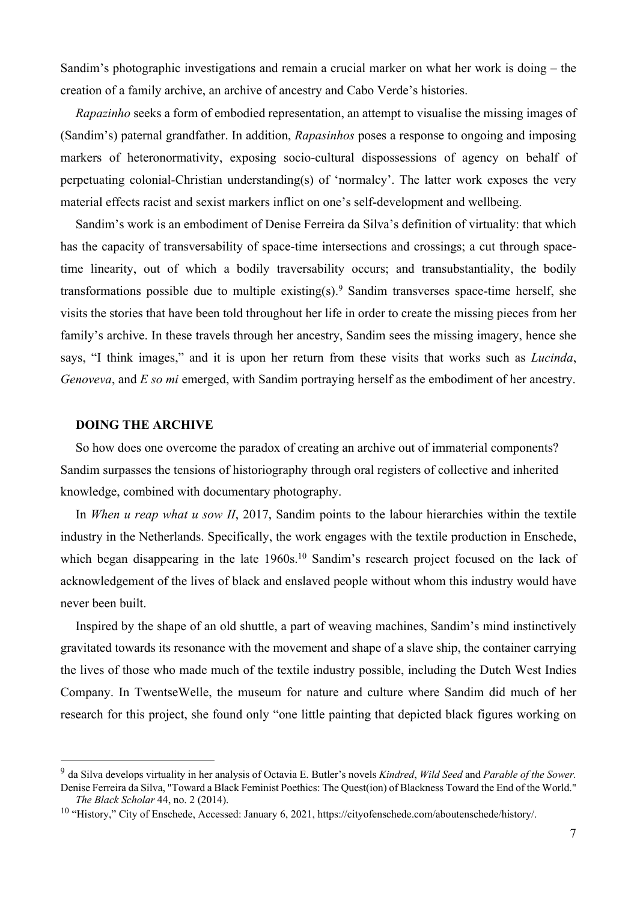Sandim's photographic investigations and remain a crucial marker on what her work is doing – the creation of a family archive, an archive of ancestry and Cabo Verde's histories.

*Rapazinho* seeks a form of embodied representation, an attempt to visualise the missing images of (Sandim's) paternal grandfather. In addition, *Rapasinhos* poses a response to ongoing and imposing markers of heteronormativity, exposing socio-cultural dispossessions of agency on behalf of perpetuating colonial-Christian understanding(s) of 'normalcy'. The latter work exposes the very material effects racist and sexist markers inflict on one's self-development and wellbeing.

Sandim's work is an embodiment of Denise Ferreira da Silva's definition of virtuality: that which has the capacity of transversability of space-time intersections and crossings; a cut through spacetime linearity, out of which a bodily traversability occurs; and transubstantiality, the bodily transformations possible due to multiple existing(s).<sup>9</sup> Sandim transverses space-time herself, she visits the stories that have been told throughout her life in order to create the missing pieces from her family's archive. In these travels through her ancestry, Sandim sees the missing imagery, hence she says, "I think images," and it is upon her return from these visits that works such as *Lucinda*, *Genoveva*, and *E so mi* emerged, with Sandim portraying herself as the embodiment of her ancestry.

## **DOING THE ARCHIVE**

So how does one overcome the paradox of creating an archive out of immaterial components? Sandim surpasses the tensions of historiography through oral registers of collective and inherited knowledge, combined with documentary photography.

In *When u reap what u sow II*, 2017, Sandim points to the labour hierarchies within the textile industry in the Netherlands. Specifically, the work engages with the textile production in Enschede, which began disappearing in the late 1960s.<sup>10</sup> Sandim's research project focused on the lack of acknowledgement of the lives of black and enslaved people without whom this industry would have never been built.

Inspired by the shape of an old shuttle, a part of weaving machines, Sandim's mind instinctively gravitated towards its resonance with the movement and shape of a slave ship, the container carrying the lives of those who made much of the textile industry possible, including the Dutch West Indies Company. In TwentseWelle, the museum for nature and culture where Sandim did much of her research for this project, she found only "one little painting that depicted black figures working on

<sup>9</sup> da Silva develops virtuality in her analysis of Octavia E. Butler's novels *Kindred*, *Wild Seed* and *Parable of the Sower.* Denise Ferreira da Silva, "Toward a Black Feminist Poethics: The Quest(ion) of Blackness Toward the End of the World."

*The Black Scholar* 44, no. 2 (2014).

<sup>&</sup>lt;sup>10</sup> "History." City of Enschede, Accessed: January 6, 2021, https://cityofenschede.com/aboutenschede/history/.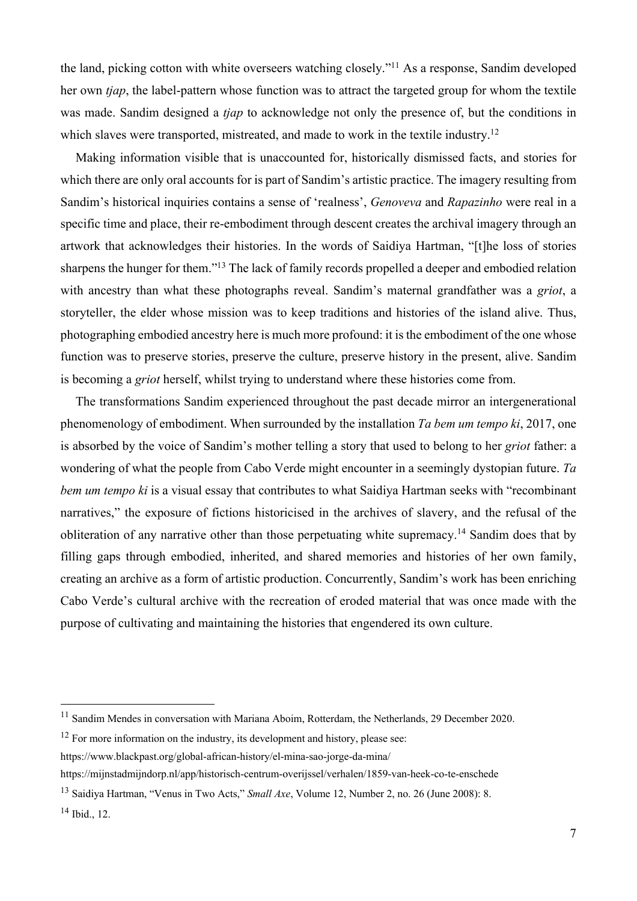the land, picking cotton with white overseers watching closely."11 As a response, Sandim developed her own *tjap*, the label-pattern whose function was to attract the targeted group for whom the textile was made. Sandim designed a *tjap* to acknowledge not only the presence of, but the conditions in which slaves were transported, mistreated, and made to work in the textile industry.<sup>12</sup>

Making information visible that is unaccounted for, historically dismissed facts, and stories for which there are only oral accounts for is part of Sandim's artistic practice. The imagery resulting from Sandim's historical inquiries contains a sense of 'realness', *Genoveva* and *Rapazinho* were real in a specific time and place, their re-embodiment through descent creates the archival imagery through an artwork that acknowledges their histories. In the words of Saidiya Hartman, "[t]he loss of stories sharpens the hunger for them."13 The lack of family records propelled a deeper and embodied relation with ancestry than what these photographs reveal. Sandim's maternal grandfather was a *griot*, a storyteller, the elder whose mission was to keep traditions and histories of the island alive. Thus, photographing embodied ancestry here is much more profound: it is the embodiment of the one whose function was to preserve stories, preserve the culture, preserve history in the present, alive. Sandim is becoming a *griot* herself, whilst trying to understand where these histories come from.

The transformations Sandim experienced throughout the past decade mirror an intergenerational phenomenology of embodiment. When surrounded by the installation *Ta bem um tempo ki*, 2017, one is absorbed by the voice of Sandim's mother telling a story that used to belong to her *griot* father: a wondering of what the people from Cabo Verde might encounter in a seemingly dystopian future. *Ta bem um tempo ki* is a visual essay that contributes to what Saidiya Hartman seeks with "recombinant narratives," the exposure of fictions historicised in the archives of slavery, and the refusal of the obliteration of any narrative other than those perpetuating white supremacy.14 Sandim does that by filling gaps through embodied, inherited, and shared memories and histories of her own family, creating an archive as a form of artistic production. Concurrently, Sandim's work has been enriching Cabo Verde's cultural archive with the recreation of eroded material that was once made with the purpose of cultivating and maintaining the histories that engendered its own culture.

 $12$  For more information on the industry, its development and history, please see: https://www.blackpast.org/global-african-history/el-mina-sao-jorge-da-mina/

https://mijnstadmijndorp.nl/app/historisch-centrum-overijssel/verhalen/1859-van-heek-co-te-enschede

<sup>&</sup>lt;sup>11</sup> Sandim Mendes in conversation with Mariana Aboim, Rotterdam, the Netherlands, 29 December 2020.

<sup>13</sup> Saidiya Hartman, "Venus in Two Acts," *Small Axe*, Volume 12, Number 2, no. 26 (June 2008): 8.

<sup>14</sup> Ibid., 12.